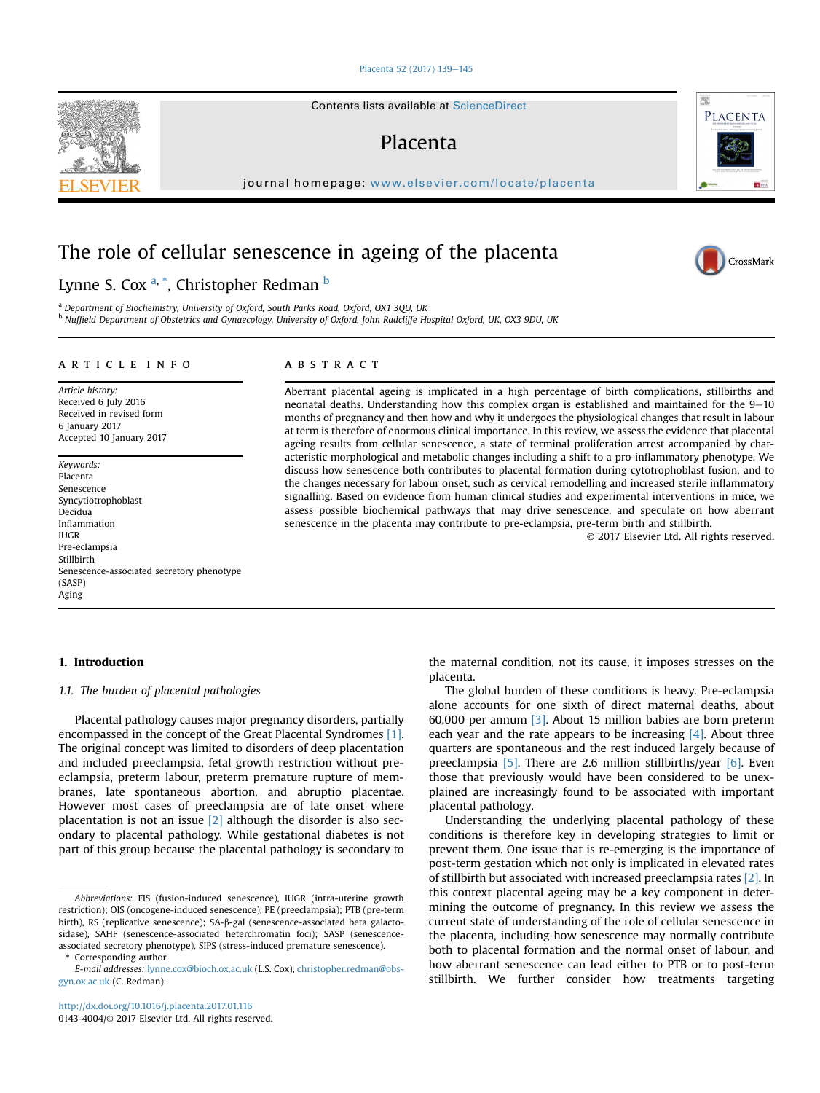#### [Placenta 52 \(2017\) 139](http://dx.doi.org/10.1016/j.placenta.2017.01.116)-[145](http://dx.doi.org/10.1016/j.placenta.2017.01.116)

Contents lists available at ScienceDirect

## Placenta

journal homepage: [www.elsevier.com/locate/placenta](http://www.elsevier.com/locate/placenta)

# The role of cellular senescence in ageing of the placenta

Lynne S. Cox <sup>a, \*</sup>, Christopher Redman <sup>b</sup>

<sup>a</sup> Department of Biochemistry, University of Oxford, South Parks Road, Oxford, OX1 3QU, UK <sup>b</sup> Nuffield Department of Obstetrics and Gynaecology, University of Oxford, John Radcliffe Hospital Oxford, UK, OX3 9DU, UK

#### article info

Article history: Received 6 July 2016 Received in revised form 6 January 2017 Accepted 10 January 2017

Keywords: Placenta Senescence Syncytiotrophoblast Decidua Inflammation IUGR Pre-eclampsia Stillbirth Senescence-associated secretory phenotype (SASP) Aging

## ABSTRACT

Aberrant placental ageing is implicated in a high percentage of birth complications, stillbirths and neonatal deaths. Understanding how this complex organ is established and maintained for the  $9-10$ months of pregnancy and then how and why it undergoes the physiological changes that result in labour at term is therefore of enormous clinical importance. In this review, we assess the evidence that placental ageing results from cellular senescence, a state of terminal proliferation arrest accompanied by characteristic morphological and metabolic changes including a shift to a pro-inflammatory phenotype. We discuss how senescence both contributes to placental formation during cytotrophoblast fusion, and to the changes necessary for labour onset, such as cervical remodelling and increased sterile inflammatory signalling. Based on evidence from human clinical studies and experimental interventions in mice, we assess possible biochemical pathways that may drive senescence, and speculate on how aberrant senescence in the placenta may contribute to pre-eclampsia, pre-term birth and stillbirth.

© 2017 Elsevier Ltd. All rights reserved.

## 1. Introduction

## 1.1. The burden of placental pathologies

Placental pathology causes major pregnancy disorders, partially encompassed in the concept of the Great Placental Syndromes [\[1\].](#page-5-0) The original concept was limited to disorders of deep placentation and included preeclampsia, fetal growth restriction without preeclampsia, preterm labour, preterm premature rupture of membranes, late spontaneous abortion, and abruptio placentae. However most cases of preeclampsia are of late onset where placentation is not an issue  $[2]$  although the disorder is also secondary to placental pathology. While gestational diabetes is not part of this group because the placental pathology is secondary to

Corresponding author.

the maternal condition, not its cause, it imposes stresses on the placenta.

The global burden of these conditions is heavy. Pre-eclampsia alone accounts for one sixth of direct maternal deaths, about 60,000 per annum [\[3\].](#page-5-0) About 15 million babies are born preterm each year and the rate appears to be increasing  $[4]$ . About three quarters are spontaneous and the rest induced largely because of preeclampsia [\[5\]](#page-5-0). There are 2.6 million stillbirths/year [\[6\]](#page-5-0). Even those that previously would have been considered to be unexplained are increasingly found to be associated with important placental pathology.

Understanding the underlying placental pathology of these conditions is therefore key in developing strategies to limit or prevent them. One issue that is re-emerging is the importance of post-term gestation which not only is implicated in elevated rates of stillbirth but associated with increased preeclampsia rates [\[2\]](#page-5-0). In this context placental ageing may be a key component in determining the outcome of pregnancy. In this review we assess the current state of understanding of the role of cellular senescence in the placenta, including how senescence may normally contribute both to placental formation and the normal onset of labour, and how aberrant senescence can lead either to PTB or to post-term stillbirth. We further consider how treatments targeting





PLACENTA

Abbreviations: FIS (fusion-induced senescence), IUGR (intra-uterine growth restriction); OIS (oncogene-induced senescence), PE (preeclampsia); PTB (pre-term birth), RS (replicative senescence); SA-b-gal (senescence-associated beta galactosidase), SAHF (senescence-associated heterchromatin foci); SASP (senescenceassociated secretory phenotype), SIPS (stress-induced premature senescence).

E-mail addresses: [lynne.cox@bioch.ox.ac.uk](mailto:lynne.cox@bioch.ox.ac.uk) (L.S. Cox), [christopher.redman@obs](mailto:christopher.redman@obs-gyn.ox.ac.uk)[gyn.ox.ac.uk](mailto:christopher.redman@obs-gyn.ox.ac.uk) (C. Redman).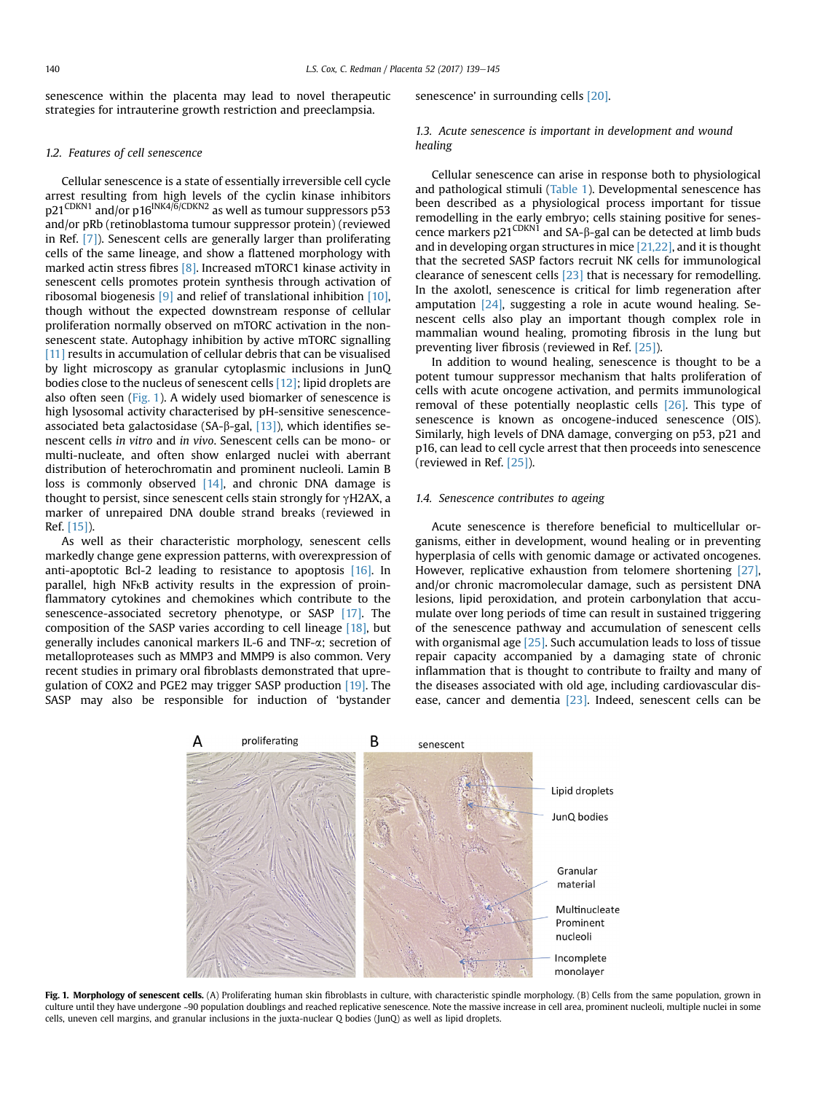senescence within the placenta may lead to novel therapeutic strategies for intrauterine growth restriction and preeclampsia.

## 1.2. Features of cell senescence

Cellular senescence is a state of essentially irreversible cell cycle arrest resulting from high levels of the cyclin kinase inhibitors p21CDKN1 and/or p16INK4/6/CDKN2 as well as tumour suppressors p53 and/or pRb (retinoblastoma tumour suppressor protein) (reviewed in Ref. [\[7\]\)](#page-5-0). Senescent cells are generally larger than proliferating cells of the same lineage, and show a flattened morphology with marked actin stress fibres [\[8\].](#page-5-0) Increased mTORC1 kinase activity in senescent cells promotes protein synthesis through activation of ribosomal biogenesis [\[9\]](#page-5-0) and relief of translational inhibition [\[10\],](#page-5-0) though without the expected downstream response of cellular proliferation normally observed on mTORC activation in the nonsenescent state. Autophagy inhibition by active mTORC signalling [\[11\]](#page-5-0) results in accumulation of cellular debris that can be visualised by light microscopy as granular cytoplasmic inclusions in JunQ bodies close to the nucleus of senescent cells [\[12\];](#page-5-0) lipid droplets are also often seen (Fig. 1). A widely used biomarker of senescence is high lysosomal activity characterised by pH-sensitive senescenceassociated beta galactosidase (SA- $\beta$ -gal, [\[13\]\)](#page-5-0), which identifies senescent cells in vitro and in vivo. Senescent cells can be mono- or multi-nucleate, and often show enlarged nuclei with aberrant distribution of heterochromatin and prominent nucleoli. Lamin B loss is commonly observed  $[14]$ , and chronic DNA damage is thought to persist, since senescent cells stain strongly for  $\gamma$ H2AX, a marker of unrepaired DNA double strand breaks (reviewed in Ref. [\[15\]\)](#page-5-0).

As well as their characteristic morphology, senescent cells markedly change gene expression patterns, with overexpression of anti-apoptotic Bcl-2 leading to resistance to apoptosis [\[16\].](#page-5-0) In parallel, high NFkB activity results in the expression of proinflammatory cytokines and chemokines which contribute to the senescence-associated secretory phenotype, or SASP [\[17\].](#page-5-0) The composition of the SASP varies according to cell lineage [\[18\]](#page-5-0), but generally includes canonical markers IL-6 and TNF-a; secretion of metalloproteases such as MMP3 and MMP9 is also common. Very recent studies in primary oral fibroblasts demonstrated that upregulation of COX2 and PGE2 may trigger SASP production [\[19\].](#page-5-0) The SASP may also be responsible for induction of 'bystander senescence' in surrounding cells [\[20\].](#page-5-0)

## 1.3. Acute senescence is important in development and wound healing

Cellular senescence can arise in response both to physiological and pathological stimuli ([Table 1](#page-2-0)). Developmental senescence has been described as a physiological process important for tissue remodelling in the early embryo; cells staining positive for senescence markers  $p21^{\text{CDKN1}}$  and  $SA-\beta$ -gal can be detected at limb buds and in developing organ structures in mice [\[21,22\]](#page-5-0), and it is thought that the secreted SASP factors recruit NK cells for immunological clearance of senescent cells [\[23\]](#page-5-0) that is necessary for remodelling. In the axolotl, senescence is critical for limb regeneration after amputation [\[24\],](#page-5-0) suggesting a role in acute wound healing. Senescent cells also play an important though complex role in mammalian wound healing, promoting fibrosis in the lung but preventing liver fibrosis (reviewed in Ref. [\[25\]\)](#page-5-0).

In addition to wound healing, senescence is thought to be a potent tumour suppressor mechanism that halts proliferation of cells with acute oncogene activation, and permits immunological removal of these potentially neoplastic cells [\[26\].](#page-5-0) This type of senescence is known as oncogene-induced senescence (OIS). Similarly, high levels of DNA damage, converging on p53, p21 and p16, can lead to cell cycle arrest that then proceeds into senescence (reviewed in Ref. [\[25\]\)](#page-5-0).

#### 1.4. Senescence contributes to ageing

Acute senescence is therefore beneficial to multicellular organisms, either in development, wound healing or in preventing hyperplasia of cells with genomic damage or activated oncogenes. However, replicative exhaustion from telomere shortening [\[27\],](#page-5-0) and/or chronic macromolecular damage, such as persistent DNA lesions, lipid peroxidation, and protein carbonylation that accumulate over long periods of time can result in sustained triggering of the senescence pathway and accumulation of senescent cells with organismal age [\[25\].](#page-5-0) Such accumulation leads to loss of tissue repair capacity accompanied by a damaging state of chronic inflammation that is thought to contribute to frailty and many of the diseases associated with old age, including cardiovascular dis-ease, cancer and dementia [\[23\].](#page-5-0) Indeed, senescent cells can be



Fig. 1. Morphology of senescent cells. (A) Proliferating human skin fibroblasts in culture, with characteristic spindle morphology. (B) Cells from the same population, grown in culture until they have undergone ~90 population doublings and reached replicative senescence. Note the massive increase in cell area, prominent nucleoli, multiple nuclei in some cells, uneven cell margins, and granular inclusions in the juxta-nuclear Q bodies (JunQ) as well as lipid droplets.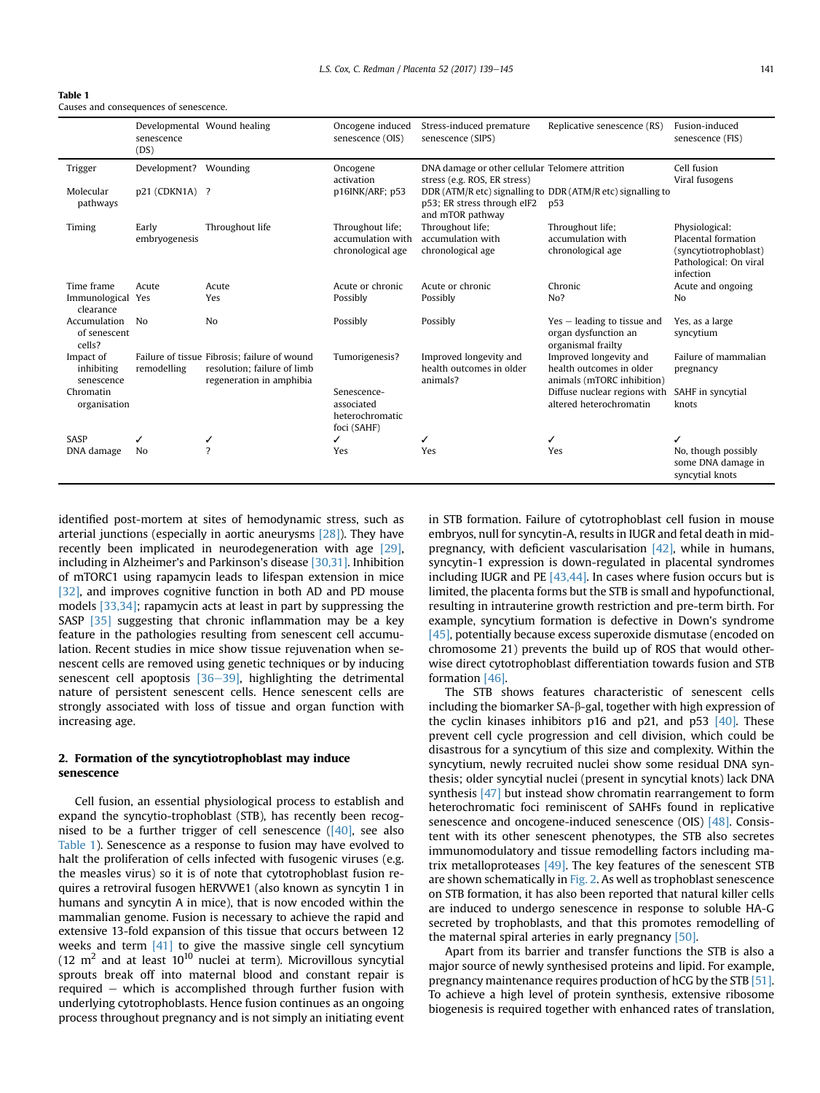<span id="page-2-0"></span>

| <b>Table 1</b>                         |  |
|----------------------------------------|--|
| Causes and consequences of senescence. |  |

|                                        | senescence<br>(DS)     | Developmental Wound healing                                                                             | Oncogene induced<br>senescence (OIS)                        | Stress-induced premature<br>senescence (SIPS)                                   | Replicative senescence (RS)                                                      | Fusion-induced<br>senescence (FIS)                                                                    |
|----------------------------------------|------------------------|---------------------------------------------------------------------------------------------------------|-------------------------------------------------------------|---------------------------------------------------------------------------------|----------------------------------------------------------------------------------|-------------------------------------------------------------------------------------------------------|
| Trigger                                | Development?           | Wounding                                                                                                | Oncogene<br>activation                                      | DNA damage or other cellular Telomere attrition<br>stress (e.g. ROS, ER stress) |                                                                                  | Cell fusion<br>Viral fusogens                                                                         |
| Molecular<br>pathways                  | p21 (CDKN1A) ?         |                                                                                                         | p16INK/ARF; p53                                             | p53; ER stress through eIF2<br>and mTOR pathway                                 | DDR (ATM/R etc) signalling to DDR (ATM/R etc) signalling to<br>p53               |                                                                                                       |
| Timing                                 | Early<br>embryogenesis | Throughout life                                                                                         | Throughout life;<br>accumulation with<br>chronological age  | Throughout life;<br>accumulation with<br>chronological age                      | Throughout life;<br>accumulation with<br>chronological age                       | Physiological:<br>Placental formation<br>(syncytiotrophoblast)<br>Pathological: On viral<br>infection |
| Time frame                             | Acute                  | Acute                                                                                                   | Acute or chronic                                            | Acute or chronic                                                                | Chronic                                                                          | Acute and ongoing                                                                                     |
| Immunological Yes<br>clearance         |                        | Yes                                                                                                     | Possibly                                                    | Possibly                                                                        | No?                                                                              | No                                                                                                    |
| Accumulation<br>of senescent<br>cells? | N <sub>0</sub>         | N <sub>o</sub>                                                                                          | Possibly                                                    | Possibly                                                                        | $Yes - leading to tissue and$<br>organ dysfunction an<br>organismal frailty      | Yes, as a large<br>syncytium                                                                          |
| Impact of<br>inhibiting<br>senescence  | remodelling            | Failure of tissue Fibrosis: failure of wound<br>resolution: failure of limb<br>regeneration in amphibia | Tumorigenesis?                                              | Improved longevity and<br>health outcomes in older<br>animals?                  | Improved longevity and<br>health outcomes in older<br>animals (mTORC inhibition) | Failure of mammalian<br>pregnancy                                                                     |
| Chromatin<br>organisation              |                        |                                                                                                         | Senescence-<br>associated<br>heterochromatic<br>foci (SAHF) |                                                                                 | Diffuse nuclear regions with<br>altered heterochromatin                          | SAHF in syncytial<br>knots                                                                            |
| <b>SASP</b>                            | ✓                      |                                                                                                         | ✓                                                           | ✓                                                                               |                                                                                  |                                                                                                       |
| DNA damage                             | No                     | $\gamma$                                                                                                | Yes                                                         | Yes                                                                             | Yes                                                                              | No, though possibly<br>some DNA damage in<br>syncytial knots                                          |

identified post-mortem at sites of hemodynamic stress, such as arterial junctions (especially in aortic aneurysms [\[28\]\)](#page-5-0). They have recently been implicated in neurodegeneration with age [\[29\],](#page-5-0) including in Alzheimer's and Parkinson's disease [\[30,31\].](#page-5-0) Inhibition of mTORC1 using rapamycin leads to lifespan extension in mice [\[32\],](#page-5-0) and improves cognitive function in both AD and PD mouse models [\[33,34\]](#page-5-0); rapamycin acts at least in part by suppressing the SASP [\[35\]](#page-5-0) suggesting that chronic inflammation may be a key feature in the pathologies resulting from senescent cell accumulation. Recent studies in mice show tissue rejuvenation when senescent cells are removed using genetic techniques or by inducing senescent cell apoptosis  $[36-39]$  $[36-39]$  $[36-39]$ , highlighting the detrimental nature of persistent senescent cells. Hence senescent cells are strongly associated with loss of tissue and organ function with increasing age.

## 2. Formation of the syncytiotrophoblast may induce senescence

Cell fusion, an essential physiological process to establish and expand the syncytio-trophoblast (STB), has recently been recognised to be a further trigger of cell senescence  $([40]$ , see also Table 1). Senescence as a response to fusion may have evolved to halt the proliferation of cells infected with fusogenic viruses (e.g. the measles virus) so it is of note that cytotrophoblast fusion requires a retroviral fusogen hERVWE1 (also known as syncytin 1 in humans and syncytin A in mice), that is now encoded within the mammalian genome. Fusion is necessary to achieve the rapid and extensive 13-fold expansion of this tissue that occurs between 12 weeks and term [\[41\]](#page-6-0) to give the massive single cell syncytium (12  $m<sup>2</sup>$  and at least 10<sup>10</sup> nuclei at term). Microvillous syncytial sprouts break off into maternal blood and constant repair is required  $-$  which is accomplished through further fusion with underlying cytotrophoblasts. Hence fusion continues as an ongoing process throughout pregnancy and is not simply an initiating event in STB formation. Failure of cytotrophoblast cell fusion in mouse embryos, null for syncytin-A, results in IUGR and fetal death in midpregnancy, with deficient vascularisation [\[42\]](#page-6-0), while in humans, syncytin-1 expression is down-regulated in placental syndromes including IUGR and PE [\[43,44\]](#page-6-0). In cases where fusion occurs but is limited, the placenta forms but the STB is small and hypofunctional, resulting in intrauterine growth restriction and pre-term birth. For example, syncytium formation is defective in Down's syndrome [\[45\],](#page-6-0) potentially because excess superoxide dismutase (encoded on chromosome 21) prevents the build up of ROS that would otherwise direct cytotrophoblast differentiation towards fusion and STB formation [\[46\].](#page-6-0)

The STB shows features characteristic of senescent cells including the biomarker  $SA-\beta$ -gal, together with high expression of the cyclin kinases inhibitors  $p16$  and  $p21$ , and  $p53$   $[40]$ . These prevent cell cycle progression and cell division, which could be disastrous for a syncytium of this size and complexity. Within the syncytium, newly recruited nuclei show some residual DNA synthesis; older syncytial nuclei (present in syncytial knots) lack DNA synthesis [\[47\]](#page-6-0) but instead show chromatin rearrangement to form heterochromatic foci reminiscent of SAHFs found in replicative senescence and oncogene-induced senescence (OIS) [\[48\].](#page-6-0) Consistent with its other senescent phenotypes, the STB also secretes immunomodulatory and tissue remodelling factors including matrix metalloproteases [\[49\].](#page-6-0) The key features of the senescent STB are shown schematically in [Fig. 2](#page-3-0). As well as trophoblast senescence on STB formation, it has also been reported that natural killer cells are induced to undergo senescence in response to soluble HA-G secreted by trophoblasts, and that this promotes remodelling of the maternal spiral arteries in early pregnancy [\[50\].](#page-6-0)

Apart from its barrier and transfer functions the STB is also a major source of newly synthesised proteins and lipid. For example, pregnancy maintenance requires production of hCG by the STB [\[51\].](#page-6-0) To achieve a high level of protein synthesis, extensive ribosome biogenesis is required together with enhanced rates of translation,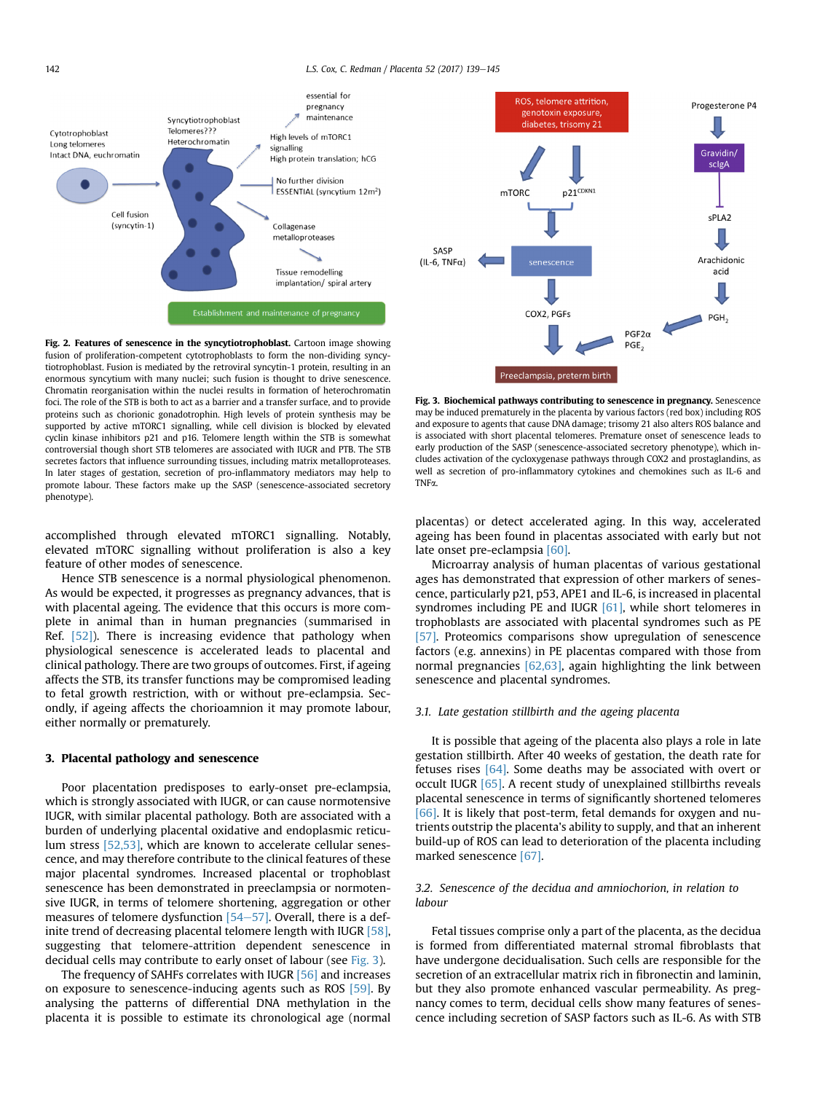<span id="page-3-0"></span>

Fig. 2. Features of senescence in the syncytiotrophoblast. Cartoon image showing fusion of proliferation-competent cytotrophoblasts to form the non-dividing syncytiotrophoblast. Fusion is mediated by the retroviral syncytin-1 protein, resulting in an enormous syncytium with many nuclei; such fusion is thought to drive senescence. Chromatin reorganisation within the nuclei results in formation of heterochromatin foci. The role of the STB is both to act as a barrier and a transfer surface, and to provide proteins such as chorionic gonadotrophin. High levels of protein synthesis may be supported by active mTORC1 signalling, while cell division is blocked by elevated cyclin kinase inhibitors p21 and p16. Telomere length within the STB is somewhat controversial though short STB telomeres are associated with IUGR and PTB. The STB secretes factors that influence surrounding tissues, including matrix metalloproteases. In later stages of gestation, secretion of pro-inflammatory mediators may help to promote labour. These factors make up the SASP (senescence-associated secretory phenotype).

accomplished through elevated mTORC1 signalling. Notably, elevated mTORC signalling without proliferation is also a key feature of other modes of senescence.

Hence STB senescence is a normal physiological phenomenon. As would be expected, it progresses as pregnancy advances, that is with placental ageing. The evidence that this occurs is more complete in animal than in human pregnancies (summarised in Ref.  $[52]$ ). There is increasing evidence that pathology when physiological senescence is accelerated leads to placental and clinical pathology. There are two groups of outcomes. First, if ageing affects the STB, its transfer functions may be compromised leading to fetal growth restriction, with or without pre-eclampsia. Secondly, if ageing affects the chorioamnion it may promote labour, either normally or prematurely.

#### 3. Placental pathology and senescence

Poor placentation predisposes to early-onset pre-eclampsia, which is strongly associated with IUGR, or can cause normotensive IUGR, with similar placental pathology. Both are associated with a burden of underlying placental oxidative and endoplasmic reticulum stress [\[52,53\],](#page-6-0) which are known to accelerate cellular senescence, and may therefore contribute to the clinical features of these major placental syndromes. Increased placental or trophoblast senescence has been demonstrated in preeclampsia or normotensive IUGR, in terms of telomere shortening, aggregation or other measures of telomere dysfunction  $[54-57]$  $[54-57]$  $[54-57]$ . Overall, there is a definite trend of decreasing placental telomere length with IUGR [\[58\],](#page-6-0) suggesting that telomere-attrition dependent senescence in decidual cells may contribute to early onset of labour (see Fig. 3).

The frequency of SAHFs correlates with IUGR [\[56\]](#page-6-0) and increases on exposure to senescence-inducing agents such as ROS [\[59\]](#page-6-0). By analysing the patterns of differential DNA methylation in the placenta it is possible to estimate its chronological age (normal



Fig. 3. Biochemical pathways contributing to senescence in pregnancy. Senescence may be induced prematurely in the placenta by various factors (red box) including ROS and exposure to agents that cause DNA damage; trisomy 21 also alters ROS balance and is associated with short placental telomeres. Premature onset of senescence leads to early production of the SASP (senescence-associated secretory phenotype), which includes activation of the cycloxygenase pathways through COX2 and prostaglandins, as well as secretion of pro-inflammatory cytokines and chemokines such as IL-6 and TNFa.

placentas) or detect accelerated aging. In this way, accelerated ageing has been found in placentas associated with early but not late onset pre-eclampsia [\[60\].](#page-6-0)

Microarray analysis of human placentas of various gestational ages has demonstrated that expression of other markers of senescence, particularly p21, p53, APE1 and IL-6, is increased in placental syndromes including PE and IUGR [\[61\]](#page-6-0), while short telomeres in trophoblasts are associated with placental syndromes such as PE [\[57\].](#page-6-0) Proteomics comparisons show upregulation of senescence factors (e.g. annexins) in PE placentas compared with those from normal pregnancies [\[62,63\]](#page-6-0), again highlighting the link between senescence and placental syndromes.

#### 3.1. Late gestation stillbirth and the ageing placenta

It is possible that ageing of the placenta also plays a role in late gestation stillbirth. After 40 weeks of gestation, the death rate for fetuses rises [\[64\].](#page-6-0) Some deaths may be associated with overt or occult IUGR [\[65\].](#page-6-0) A recent study of unexplained stillbirths reveals placental senescence in terms of significantly shortened telomeres [\[66\]](#page-6-0). It is likely that post-term, fetal demands for oxygen and nutrients outstrip the placenta's ability to supply, and that an inherent build-up of ROS can lead to deterioration of the placenta including marked senescence [\[67\]](#page-6-0).

## 3.2. Senescence of the decidua and amniochorion, in relation to labour

Fetal tissues comprise only a part of the placenta, as the decidua is formed from differentiated maternal stromal fibroblasts that have undergone decidualisation. Such cells are responsible for the secretion of an extracellular matrix rich in fibronectin and laminin, but they also promote enhanced vascular permeability. As pregnancy comes to term, decidual cells show many features of senescence including secretion of SASP factors such as IL-6. As with STB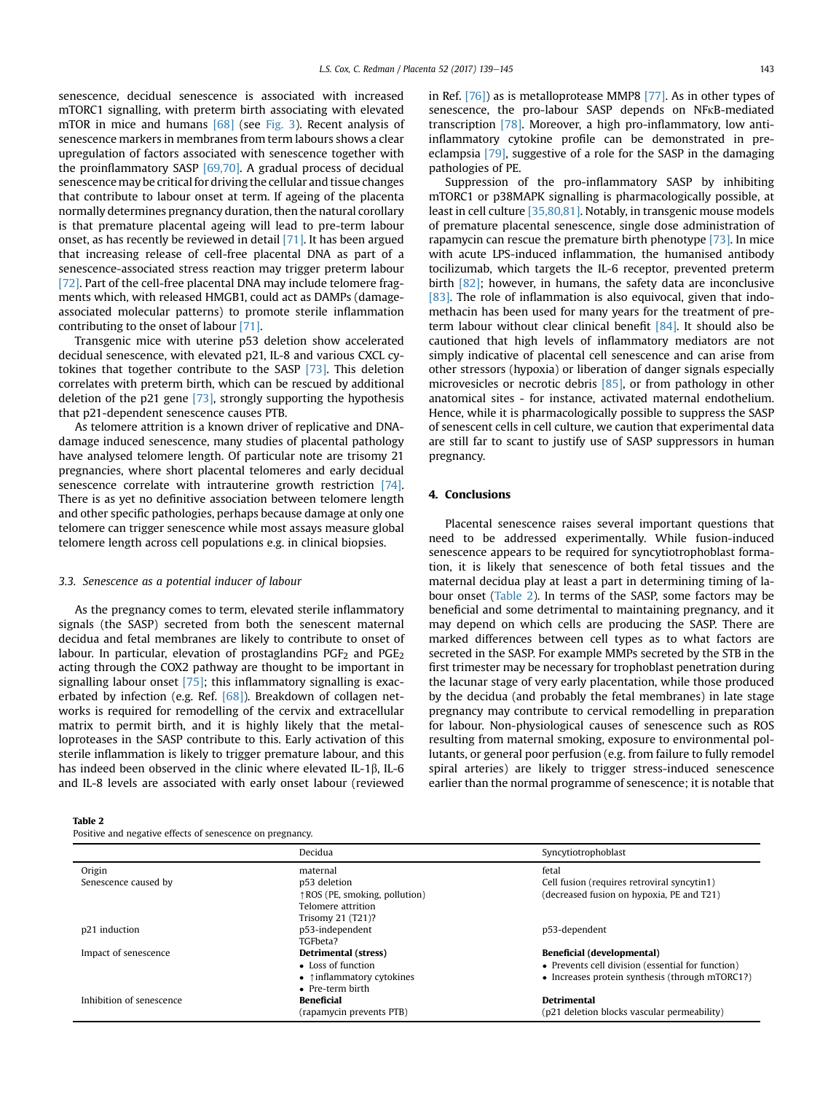senescence, decidual senescence is associated with increased mTORC1 signalling, with preterm birth associating with elevated mTOR in mice and humans [\[68\]](#page-6-0) (see [Fig. 3\)](#page-3-0). Recent analysis of senescence markers in membranes from term labours shows a clear upregulation of factors associated with senescence together with the proinflammatory SASP [\[69,70\]](#page-6-0). A gradual process of decidual senescence may be critical for driving the cellular and tissue changes that contribute to labour onset at term. If ageing of the placenta normally determines pregnancy duration, then the natural corollary is that premature placental ageing will lead to pre-term labour onset, as has recently be reviewed in detail [\[71\].](#page-6-0) It has been argued that increasing release of cell-free placental DNA as part of a senescence-associated stress reaction may trigger preterm labour [\[72\].](#page-6-0) Part of the cell-free placental DNA may include telomere fragments which, with released HMGB1, could act as DAMPs (damageassociated molecular patterns) to promote sterile inflammation contributing to the onset of labour [\[71\].](#page-6-0)

Transgenic mice with uterine p53 deletion show accelerated decidual senescence, with elevated p21, IL-8 and various CXCL cytokines that together contribute to the SASP [\[73\]](#page-6-0). This deletion correlates with preterm birth, which can be rescued by additional deletion of the p21 gene [\[73\]](#page-6-0), strongly supporting the hypothesis that p21-dependent senescence causes PTB.

As telomere attrition is a known driver of replicative and DNAdamage induced senescence, many studies of placental pathology have analysed telomere length. Of particular note are trisomy 21 pregnancies, where short placental telomeres and early decidual senescence correlate with intrauterine growth restriction [\[74\].](#page-6-0) There is as yet no definitive association between telomere length and other specific pathologies, perhaps because damage at only one telomere can trigger senescence while most assays measure global telomere length across cell populations e.g. in clinical biopsies.

#### 3.3. Senescence as a potential inducer of labour

As the pregnancy comes to term, elevated sterile inflammatory signals (the SASP) secreted from both the senescent maternal decidua and fetal membranes are likely to contribute to onset of labour. In particular, elevation of prostaglandins  $PGF<sub>2</sub>$  and  $PGE<sub>2</sub>$ acting through the COX2 pathway are thought to be important in signalling labour onset [\[75\];](#page-6-0) this inflammatory signalling is exac-erbated by infection (e.g. Ref. [\[68\]\)](#page-6-0). Breakdown of collagen networks is required for remodelling of the cervix and extracellular matrix to permit birth, and it is highly likely that the metalloproteases in the SASP contribute to this. Early activation of this sterile inflammation is likely to trigger premature labour, and this has indeed been observed in the clinic where elevated IL-1 $\beta$ , IL-6 and IL-8 levels are associated with early onset labour (reviewed

|  | $\cdot$ | ٦D. |  |  |
|--|---------|-----|--|--|
|--|---------|-----|--|--|

| Positive and negative effects of senescence on pregnancy. |  |
|-----------------------------------------------------------|--|
|-----------------------------------------------------------|--|

in Ref. [\[76\]\)](#page-6-0) as is metalloprotease MMP8 [\[77\]](#page-6-0). As in other types of senescence, the pro-labour SASP depends on NFkB-mediated transcription [\[78\]](#page-6-0). Moreover, a high pro-inflammatory, low antiinflammatory cytokine profile can be demonstrated in preeclampsia [\[79\]](#page-6-0), suggestive of a role for the SASP in the damaging pathologies of PE.

Suppression of the pro-inflammatory SASP by inhibiting mTORC1 or p38MAPK signalling is pharmacologically possible, at least in cell culture [\[35,80,81\].](#page-5-0) Notably, in transgenic mouse models of premature placental senescence, single dose administration of rapamycin can rescue the premature birth phenotype [\[73\].](#page-6-0) In mice with acute LPS-induced inflammation, the humanised antibody tocilizumab, which targets the IL-6 receptor, prevented preterm birth [\[82\];](#page-6-0) however, in humans, the safety data are inconclusive [\[83\].](#page-6-0) The role of inflammation is also equivocal, given that indomethacin has been used for many years for the treatment of preterm labour without clear clinical benefit  $[84]$ . It should also be cautioned that high levels of inflammatory mediators are not simply indicative of placental cell senescence and can arise from other stressors (hypoxia) or liberation of danger signals especially microvesicles or necrotic debris [\[85\]](#page-6-0), or from pathology in other anatomical sites - for instance, activated maternal endothelium. Hence, while it is pharmacologically possible to suppress the SASP of senescent cells in cell culture, we caution that experimental data are still far to scant to justify use of SASP suppressors in human pregnancy.

#### 4. Conclusions

Placental senescence raises several important questions that need to be addressed experimentally. While fusion-induced senescence appears to be required for syncytiotrophoblast formation, it is likely that senescence of both fetal tissues and the maternal decidua play at least a part in determining timing of labour onset (Table 2). In terms of the SASP, some factors may be beneficial and some detrimental to maintaining pregnancy, and it may depend on which cells are producing the SASP. There are marked differences between cell types as to what factors are secreted in the SASP. For example MMPs secreted by the STB in the first trimester may be necessary for trophoblast penetration during the lacunar stage of very early placentation, while those produced by the decidua (and probably the fetal membranes) in late stage pregnancy may contribute to cervical remodelling in preparation for labour. Non-physiological causes of senescence such as ROS resulting from maternal smoking, exposure to environmental pollutants, or general poor perfusion (e.g. from failure to fully remodel spiral arteries) are likely to trigger stress-induced senescence earlier than the normal programme of senescence; it is notable that

|                          | Decidua                                     | Syncytiotrophoblast                               |
|--------------------------|---------------------------------------------|---------------------------------------------------|
| Origin                   | maternal                                    | fetal                                             |
| Senescence caused by     | p53 deletion                                | Cell fusion (requires retroviral syncytin1)       |
|                          | ↑ ROS (PE, smoking, pollution)              | (decreased fusion on hypoxia, PE and T21)         |
|                          | Telomere attrition                          |                                                   |
|                          | Trisomy 21 (T21)?                           |                                                   |
| p21 induction            | p53-independent                             | p53-dependent                                     |
|                          | TGFbeta?                                    |                                                   |
| Impact of senescence     | Detrimental (stress)                        | Beneficial (developmental)                        |
|                          | • Loss of function                          | • Prevents cell division (essential for function) |
|                          | $\bullet$ $\uparrow$ inflammatory cytokines | • Increases protein synthesis (through mTORC1?)   |
|                          | • Pre-term birth                            |                                                   |
| Inhibition of senescence | <b>Beneficial</b>                           | <b>Detrimental</b>                                |
|                          | (rapamycin prevents PTB)                    | (p21 deletion blocks vascular permeability)       |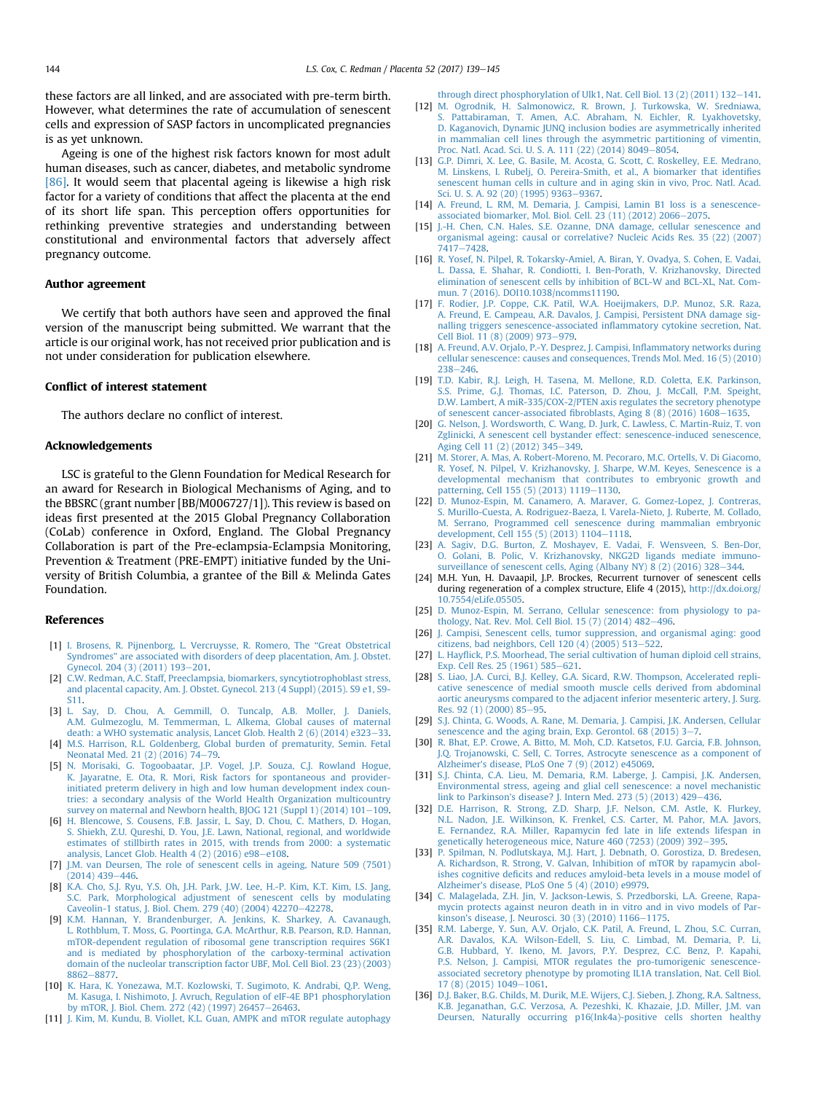<span id="page-5-0"></span>these factors are all linked, and are associated with pre-term birth. However, what determines the rate of accumulation of senescent cells and expression of SASP factors in uncomplicated pregnancies is as yet unknown.

Ageing is one of the highest risk factors known for most adult human diseases, such as cancer, diabetes, and metabolic syndrome [\[86\]](#page-6-0). It would seem that placental ageing is likewise a high risk factor for a variety of conditions that affect the placenta at the end of its short life span. This perception offers opportunities for rethinking preventive strategies and understanding between constitutional and environmental factors that adversely affect pregnancy outcome.

## Author agreement

We certify that both authors have seen and approved the final version of the manuscript being submitted. We warrant that the article is our original work, has not received prior publication and is not under consideration for publication elsewhere.

## Conflict of interest statement

The authors declare no conflict of interest.

#### Acknowledgements

LSC is grateful to the Glenn Foundation for Medical Research for an award for Research in Biological Mechanisms of Aging, and to the BBSRC (grant number [BB/M006727/1]). This review is based on ideas first presented at the 2015 Global Pregnancy Collaboration (CoLab) conference in Oxford, England. The Global Pregnancy Collaboration is part of the Pre-eclampsia-Eclampsia Monitoring, Prevention & Treatment (PRE-EMPT) initiative funded by the University of British Columbia, a grantee of the Bill & Melinda Gates Foundation.

#### References

- [1] [I. Brosens, R. Pijnenborg, L. Vercruysse, R. Romero, The](http://refhub.elsevier.com/S0143-4004(17)30118-2/sref1) "Great Obstetrical Syndromes" [are associated with disorders of deep placentation, Am. J. Obstet.](http://refhub.elsevier.com/S0143-4004(17)30118-2/sref1) [Gynecol. 204 \(3\) \(2011\) 193](http://refhub.elsevier.com/S0143-4004(17)30118-2/sref1)-[201](http://refhub.elsevier.com/S0143-4004(17)30118-2/sref1).
- [2] [C.W. Redman, A.C. Staff, Preeclampsia, biomarkers, syncytiotrophoblast stress,](http://refhub.elsevier.com/S0143-4004(17)30118-2/sref2) [and placental capacity, Am. J. Obstet. Gynecol. 213 \(4 Suppl\) \(2015\). S9 e1, S9-](http://refhub.elsevier.com/S0143-4004(17)30118-2/sref2) [S11.](http://refhub.elsevier.com/S0143-4004(17)30118-2/sref2)
- [3] [L. Say, D. Chou, A. Gemmill, O. Tuncalp, A.B. Moller, J. Daniels,](http://refhub.elsevier.com/S0143-4004(17)30118-2/sref3) [A.M. Gulmezoglu, M. Temmerman, L. Alkema, Global causes of maternal](http://refhub.elsevier.com/S0143-4004(17)30118-2/sref3) [death: a WHO systematic analysis, Lancet Glob. Health 2 \(6\) \(2014\) e323](http://refhub.elsevier.com/S0143-4004(17)30118-2/sref3)-[33](http://refhub.elsevier.com/S0143-4004(17)30118-2/sref3). [4] [M.S. Harrison, R.L. Goldenberg, Global burden of prematurity, Semin. Fetal](http://refhub.elsevier.com/S0143-4004(17)30118-2/sref4)
- [Neonatal Med. 21 \(2\) \(2016\) 74](http://refhub.elsevier.com/S0143-4004(17)30118-2/sref4)-[79](http://refhub.elsevier.com/S0143-4004(17)30118-2/sref4).
- [5] [N. Morisaki, G. Togoobaatar, J.P. Vogel, J.P. Souza, C.J. Rowland Hogue,](http://refhub.elsevier.com/S0143-4004(17)30118-2/sref5) [K. Jayaratne, E. Ota, R. Mori, Risk factors for spontaneous and provider](http://refhub.elsevier.com/S0143-4004(17)30118-2/sref5)[initiated preterm delivery in high and low human development index coun](http://refhub.elsevier.com/S0143-4004(17)30118-2/sref5)[tries: a secondary analysis of the World Health Organization multicountry](http://refhub.elsevier.com/S0143-4004(17)30118-2/sref5) survey on maternal and Newborn health, BJOG 121 (Suppl 1)  $(2014)$  101-[109](http://refhub.elsevier.com/S0143-4004(17)30118-2/sref5).
- [6] [H. Blencowe, S. Cousens, F.B. Jassir, L. Say, D. Chou, C. Mathers, D. Hogan,](http://refhub.elsevier.com/S0143-4004(17)30118-2/sref6) [S. Shiekh, Z.U. Qureshi, D. You, J.E. Lawn, National, regional, and worldwide](http://refhub.elsevier.com/S0143-4004(17)30118-2/sref6) [estimates of stillbirth rates in 2015, with trends from 2000: a systematic](http://refhub.elsevier.com/S0143-4004(17)30118-2/sref6) analysis, Lancet Glob. Health  $4(2)(2016)$  e98-[e108](http://refhub.elsevier.com/S0143-4004(17)30118-2/sref6).
- [7] [J.M. van Deursen, The role of senescent cells in ageing, Nature 509 \(7501\)](http://refhub.elsevier.com/S0143-4004(17)30118-2/sref7)  $(2014)$  439-[446.](http://refhub.elsevier.com/S0143-4004(17)30118-2/sref7)
- [8] [K.A. Cho, S.J. Ryu, Y.S. Oh, J.H. Park, J.W. Lee, H.-P. Kim, K.T. Kim, I.S. Jang,](http://refhub.elsevier.com/S0143-4004(17)30118-2/sref8) [S.C. Park, Morphological adjustment of senescent cells by modulating](http://refhub.elsevier.com/S0143-4004(17)30118-2/sref8) [Caveolin-1 status, J. Biol. Chem. 279 \(40\) \(2004\) 42270](http://refhub.elsevier.com/S0143-4004(17)30118-2/sref8)-[42278.](http://refhub.elsevier.com/S0143-4004(17)30118-2/sref8)
- [9] [K.M. Hannan, Y. Brandenburger, A. Jenkins, K. Sharkey, A. Cavanaugh,](http://refhub.elsevier.com/S0143-4004(17)30118-2/sref9) [L. Rothblum, T. Moss, G. Poortinga, G.A. McArthur, R.B. Pearson, R.D. Hannan,](http://refhub.elsevier.com/S0143-4004(17)30118-2/sref9) [mTOR-dependent regulation of ribosomal gene transcription requires S6K1](http://refhub.elsevier.com/S0143-4004(17)30118-2/sref9) [and is mediated by phosphorylation of the carboxy-terminal activation](http://refhub.elsevier.com/S0143-4004(17)30118-2/sref9) [domain of the nucleolar transcription factor UBF, Mol. Cell Biol. 23 \(23\) \(2003\)](http://refhub.elsevier.com/S0143-4004(17)30118-2/sref9) [8862](http://refhub.elsevier.com/S0143-4004(17)30118-2/sref9)-[8877](http://refhub.elsevier.com/S0143-4004(17)30118-2/sref9).
- [10] [K. Hara, K. Yonezawa, M.T. Kozlowski, T. Sugimoto, K. Andrabi, Q.P. Weng,](http://refhub.elsevier.com/S0143-4004(17)30118-2/sref10) [M. Kasuga, I. Nishimoto, J. Avruch, Regulation of eIF-4E BP1 phosphorylation](http://refhub.elsevier.com/S0143-4004(17)30118-2/sref10) [by mTOR, J. Biol. Chem. 272 \(42\) \(1997\) 26457](http://refhub.elsevier.com/S0143-4004(17)30118-2/sref10)-[26463.](http://refhub.elsevier.com/S0143-4004(17)30118-2/sref10)
- [11] [J. Kim, M. Kundu, B. Viollet, K.L. Guan, AMPK and mTOR regulate autophagy](http://refhub.elsevier.com/S0143-4004(17)30118-2/sref11)

through direct phosphorylation of Ulk1, Nat. Cell Biol. 13 (2) (2011)  $132-141$  $132-141$ .

- [12] [M. Ogrodnik, H. Salmonowicz, R. Brown, J. Turkowska, W. Sredniawa,](http://refhub.elsevier.com/S0143-4004(17)30118-2/sref12) Pattabiraman, T. Amen, A.C. Abraham, N. Eichler, R. Lyakhovetsky, [D. Kaganovich, Dynamic JUNQ inclusion bodies are asymmetrically inherited](http://refhub.elsevier.com/S0143-4004(17)30118-2/sref12) [in mammalian cell lines through the asymmetric partitioning of vimentin,](http://refhub.elsevier.com/S0143-4004(17)30118-2/sref12) [Proc. Natl. Acad. Sci. U. S. A. 111 \(22\) \(2014\) 8049](http://refhub.elsevier.com/S0143-4004(17)30118-2/sref12)-[8054.](http://refhub.elsevier.com/S0143-4004(17)30118-2/sref12)
- [13] [G.P. Dimri, X. Lee, G. Basile, M. Acosta, G. Scott, C. Roskelley, E.E. Medrano,](http://refhub.elsevier.com/S0143-4004(17)30118-2/sref13) [M. Linskens, I. Rubelj, O. Pereira-Smith, et al., A biomarker that identi](http://refhub.elsevier.com/S0143-4004(17)30118-2/sref13)fies [senescent human cells in culture and in aging skin in vivo, Proc. Natl. Acad.](http://refhub.elsevier.com/S0143-4004(17)30118-2/sref13) [Sci. U. S. A. 92 \(20\) \(1995\) 9363](http://refhub.elsevier.com/S0143-4004(17)30118-2/sref13)-[9367.](http://refhub.elsevier.com/S0143-4004(17)30118-2/sref13)
- [14] A. Freund, L. RM, M. Demaria, J. Campisi, Lamin B1 loss is a senescence-<br>[associated biomarker, Mol. Biol. Cell. 23 \(11\) \(2012\) 2066](http://refhub.elsevier.com/S0143-4004(17)30118-2/sref14)–[2075](http://refhub.elsevier.com/S0143-4004(17)30118-2/sref14).
- [15] [J.-H. Chen, C.N. Hales, S.E. Ozanne, DNA damage, cellular senescence and](http://refhub.elsevier.com/S0143-4004(17)30118-2/sref15) [organismal ageing: causal or correlative? Nucleic Acids Res. 35 \(22\) \(2007\)](http://refhub.elsevier.com/S0143-4004(17)30118-2/sref15)  $7417 - 7428$  $7417 - 7428$  $7417 - 7428$ .
- [16] [R. Yosef, N. Pilpel, R. Tokarsky-Amiel, A. Biran, Y. Ovadya, S. Cohen, E. Vadai,](http://refhub.elsevier.com/S0143-4004(17)30118-2/sref16) [L. Dassa, E. Shahar, R. Condiotti, I. Ben-Porath, V. Krizhanovsky, Directed](http://refhub.elsevier.com/S0143-4004(17)30118-2/sref16) [elimination of senescent cells by inhibition of BCL-W and BCL-XL, Nat. Com-](http://refhub.elsevier.com/S0143-4004(17)30118-2/sref16)
- [mun. 7 \(2016\). DOI10.1038/ncomms11190](http://refhub.elsevier.com/S0143-4004(17)30118-2/sref16). [17] [F. Rodier, J.P. Coppe, C.K. Patil, W.A. Hoeijmakers, D.P. Munoz, S.R. Raza,](http://refhub.elsevier.com/S0143-4004(17)30118-2/sref17) [A. Freund, E. Campeau, A.R. Davalos, J. Campisi, Persistent DNA damage sig](http://refhub.elsevier.com/S0143-4004(17)30118-2/sref17)[nalling triggers senescence-associated in](http://refhub.elsevier.com/S0143-4004(17)30118-2/sref17)flammatory cytokine secretion, Nat. [Cell Biol. 11 \(8\) \(2009\) 973](http://refhub.elsevier.com/S0143-4004(17)30118-2/sref17)-[979](http://refhub.elsevier.com/S0143-4004(17)30118-2/sref17).
- [18] [A. Freund, A.V. Orjalo, P.-Y. Desprez, J. Campisi, In](http://refhub.elsevier.com/S0143-4004(17)30118-2/sref18)flammatory networks during [cellular senescence: causes and consequences, Trends Mol. Med. 16 \(5\) \(2010\)](http://refhub.elsevier.com/S0143-4004(17)30118-2/sref18) [238](http://refhub.elsevier.com/S0143-4004(17)30118-2/sref18)-246
- [19] [T.D. Kabir, R.J. Leigh, H. Tasena, M. Mellone, R.D. Coletta, E.K. Parkinson,](http://refhub.elsevier.com/S0143-4004(17)30118-2/sref19) [S.S. Prime, G.J. Thomas, I.C. Paterson, D. Zhou, J. McCall, P.M. Speight,](http://refhub.elsevier.com/S0143-4004(17)30118-2/sref19) [D.W. Lambert, A miR-335/COX-2/PTEN axis regulates the secretory phenotype](http://refhub.elsevier.com/S0143-4004(17)30118-2/sref19) of senescent cancer-associated fi[broblasts, Aging 8 \(8\) \(2016\) 1608](http://refhub.elsevier.com/S0143-4004(17)30118-2/sref19)-[1635](http://refhub.elsevier.com/S0143-4004(17)30118-2/sref19).
- [20] [G. Nelson, J. Wordsworth, C. Wang, D. Jurk, C. Lawless, C. Martin-Ruiz, T. von](http://refhub.elsevier.com/S0143-4004(17)30118-2/sref20) [Zglinicki, A senescent cell bystander effect: senescence-induced senescence,](http://refhub.elsevier.com/S0143-4004(17)30118-2/sref20) [Aging Cell 11 \(2\) \(2012\) 345](http://refhub.elsevier.com/S0143-4004(17)30118-2/sref20)-[349.](http://refhub.elsevier.com/S0143-4004(17)30118-2/sref20)
- [21] [M. Storer, A. Mas, A. Robert-Moreno, M. Pecoraro, M.C. Ortells, V. Di Giacomo,](http://refhub.elsevier.com/S0143-4004(17)30118-2/sref21) [R. Yosef, N. Pilpel, V. Krizhanovsky, J. Sharpe, W.M. Keyes, Senescence is a](http://refhub.elsevier.com/S0143-4004(17)30118-2/sref21) [developmental mechanism that contributes to embryonic growth and](http://refhub.elsevier.com/S0143-4004(17)30118-2/sref21) [patterning, Cell 155 \(5\) \(2013\) 1119](http://refhub.elsevier.com/S0143-4004(17)30118-2/sref21)-[1130](http://refhub.elsevier.com/S0143-4004(17)30118-2/sref21).
- [22] [D. Munoz-Espin, M. Canamero, A. Maraver, G. Gomez-Lopez, J. Contreras,](http://refhub.elsevier.com/S0143-4004(17)30118-2/sref22) [S. Murillo-Cuesta, A. Rodriguez-Baeza, I. Varela-Nieto, J. Ruberte, M. Collado,](http://refhub.elsevier.com/S0143-4004(17)30118-2/sref22) [M. Serrano, Programmed cell senescence during mammalian embryonic](http://refhub.elsevier.com/S0143-4004(17)30118-2/sref22) [development, Cell 155 \(5\) \(2013\) 1104](http://refhub.elsevier.com/S0143-4004(17)30118-2/sref22)-[1118](http://refhub.elsevier.com/S0143-4004(17)30118-2/sref22).
- [23] [A. Sagiv, D.G. Burton, Z. Moshayev, E. Vadai, F. Wensveen, S. Ben-Dor,](http://refhub.elsevier.com/S0143-4004(17)30118-2/sref23) [O. Golani, B. Polic, V. Krizhanovsky, NKG2D ligands mediate immuno](http://refhub.elsevier.com/S0143-4004(17)30118-2/sref23)[surveillance of senescent cells, Aging \(Albany NY\) 8 \(2\) \(2016\) 328](http://refhub.elsevier.com/S0143-4004(17)30118-2/sref23)-[344](http://refhub.elsevier.com/S0143-4004(17)30118-2/sref23).
- [24] M.H. Yun, H. Davaapil, J.P. Brockes, Recurrent turnover of senescent cells during regeneration of a complex structure, Elife 4 (2015), [http://dx.doi.org/](http://dx.doi.org/10.7554/eLife.05505) [10.7554/eLife.05505](http://dx.doi.org/10.7554/eLife.05505).
- [25] [D. Munoz-Espin, M. Serrano, Cellular senescence: from physiology to pa](http://refhub.elsevier.com/S0143-4004(17)30118-2/sref25)[thology, Nat. Rev. Mol. Cell Biol. 15 \(7\) \(2014\) 482](http://refhub.elsevier.com/S0143-4004(17)30118-2/sref25)-[496.](http://refhub.elsevier.com/S0143-4004(17)30118-2/sref25)
- [26] [J. Campisi, Senescent cells, tumor suppression, and organismal aging: good](http://refhub.elsevier.com/S0143-4004(17)30118-2/sref26) [citizens, bad neighbors, Cell 120 \(4\) \(2005\) 513](http://refhub.elsevier.com/S0143-4004(17)30118-2/sref26)-[522.](http://refhub.elsevier.com/S0143-4004(17)30118-2/sref26)
- [27] L. Hayfl[ick, P.S. Moorhead, The serial cultivation of human diploid cell strains,](http://refhub.elsevier.com/S0143-4004(17)30118-2/sref27) [Exp. Cell Res. 25 \(1961\) 585](http://refhub.elsevier.com/S0143-4004(17)30118-2/sref27)-[621.](http://refhub.elsevier.com/S0143-4004(17)30118-2/sref27)
- [28] [S. Liao, J.A. Curci, B.J. Kelley, G.A. Sicard, R.W. Thompson, Accelerated repli](http://refhub.elsevier.com/S0143-4004(17)30118-2/sref28)[cative senescence of medial smooth muscle cells derived from abdominal](http://refhub.elsevier.com/S0143-4004(17)30118-2/sref28) [aortic aneurysms compared to the adjacent inferior mesenteric artery, J. Surg.](http://refhub.elsevier.com/S0143-4004(17)30118-2/sref28) [Res. 92 \(1\) \(2000\) 85](http://refhub.elsevier.com/S0143-4004(17)30118-2/sref28)-[95](http://refhub.elsevier.com/S0143-4004(17)30118-2/sref28).
- [29] [S.J. Chinta, G. Woods, A. Rane, M. Demaria, J. Campisi, J.K. Andersen, Cellular](http://refhub.elsevier.com/S0143-4004(17)30118-2/sref29) senescence and the aging brain, Exp. Gerontol.  $68$  (2015) 3-[7.](http://refhub.elsevier.com/S0143-4004(17)30118-2/sref29)
- [30] [R. Bhat, E.P. Crowe, A. Bitto, M. Moh, C.D. Katsetos, F.U. Garcia, F.B. Johnson,](http://refhub.elsevier.com/S0143-4004(17)30118-2/sref30) [J.Q. Trojanowski, C. Sell, C. Torres, Astrocyte senescence as a component of](http://refhub.elsevier.com/S0143-4004(17)30118-2/sref30) [Alzheimer's disease, PLoS One 7 \(9\) \(2012\) e45069.](http://refhub.elsevier.com/S0143-4004(17)30118-2/sref30)
- [31] [S.J. Chinta, C.A. Lieu, M. Demaria, R.M. Laberge, J. Campisi, J.K. Andersen,](http://refhub.elsevier.com/S0143-4004(17)30118-2/sref31) [Environmental stress, ageing and glial cell senescence: a novel mechanistic](http://refhub.elsevier.com/S0143-4004(17)30118-2/sref31) [link to Parkinson's disease? J. Intern Med. 273 \(5\) \(2013\) 429](http://refhub.elsevier.com/S0143-4004(17)30118-2/sref31)-[436.](http://refhub.elsevier.com/S0143-4004(17)30118-2/sref31)
- [32] [D.E. Harrison, R. Strong, Z.D. Sharp, J.F. Nelson, C.M. Astle, K. Flurkey,](http://refhub.elsevier.com/S0143-4004(17)30118-2/sref32) [N.L. Nadon, J.E. Wilkinson, K. Frenkel, C.S. Carter, M. Pahor, M.A. Javors,](http://refhub.elsevier.com/S0143-4004(17)30118-2/sref32) [E. Fernandez, R.A. Miller, Rapamycin fed late in life extends lifespan in](http://refhub.elsevier.com/S0143-4004(17)30118-2/sref32) [genetically heterogeneous mice, Nature 460 \(7253\) \(2009\) 392](http://refhub.elsevier.com/S0143-4004(17)30118-2/sref32)-[395](http://refhub.elsevier.com/S0143-4004(17)30118-2/sref32).
- [33] [P. Spilman, N. Podlutskaya, M.J. Hart, J. Debnath, O. Gorostiza, D. Bredesen,](http://refhub.elsevier.com/S0143-4004(17)30118-2/sref33) [A. Richardson, R. Strong, V. Galvan, Inhibition of mTOR by rapamycin abol](http://refhub.elsevier.com/S0143-4004(17)30118-2/sref33)ishes cognitive defi[cits and reduces amyloid-beta levels in a mouse model of](http://refhub.elsevier.com/S0143-4004(17)30118-2/sref33) [Alzheimer's disease, PLoS One 5 \(4\) \(2010\) e9979.](http://refhub.elsevier.com/S0143-4004(17)30118-2/sref33)
- [34] [C. Malagelada, Z.H. Jin, V. Jackson-Lewis, S. Przedborski, L.A. Greene, Rapa](http://refhub.elsevier.com/S0143-4004(17)30118-2/sref34)[mycin protects against neuron death in in vitro and in vivo models of Par](http://refhub.elsevier.com/S0143-4004(17)30118-2/sref34)[kinson's disease, J. Neurosci. 30 \(3\) \(2010\) 1166](http://refhub.elsevier.com/S0143-4004(17)30118-2/sref34)-[1175.](http://refhub.elsevier.com/S0143-4004(17)30118-2/sref34)
- [35] [R.M. Laberge, Y. Sun, A.V. Orjalo, C.K. Patil, A. Freund, L. Zhou, S.C. Curran,](http://refhub.elsevier.com/S0143-4004(17)30118-2/sref35) [A.R. Davalos, K.A. Wilson-Edell, S. Liu, C. Limbad, M. Demaria, P. Li,](http://refhub.elsevier.com/S0143-4004(17)30118-2/sref35) [G.B. Hubbard, Y. Ikeno, M. Javors, P.Y. Desprez, C.C. Benz, P. Kapahi,](http://refhub.elsevier.com/S0143-4004(17)30118-2/sref35) [P.S. Nelson, J. Campisi, MTOR regulates the pro-tumorigenic senescence](http://refhub.elsevier.com/S0143-4004(17)30118-2/sref35)[associated secretory phenotype by promoting IL1A translation, Nat. Cell Biol.](http://refhub.elsevier.com/S0143-4004(17)30118-2/sref35)  $17 (8) (2015) 1049 - 1061.$  $17 (8) (2015) 1049 - 1061.$  $17 (8) (2015) 1049 - 1061.$  $17 (8) (2015) 1049 - 1061.$
- [36] [D.J. Baker, B.G. Childs, M. Durik, M.E. Wijers, C.J. Sieben, J. Zhong, R.A. Saltness,](http://refhub.elsevier.com/S0143-4004(17)30118-2/sref36) [K.B. Jeganathan, G.C. Verzosa, A. Pezeshki, K. Khazaie, J.D. Miller, J.M. van](http://refhub.elsevier.com/S0143-4004(17)30118-2/sref36) [Deursen, Naturally occurring p16\(Ink4a\)-positive cells shorten healthy](http://refhub.elsevier.com/S0143-4004(17)30118-2/sref36)